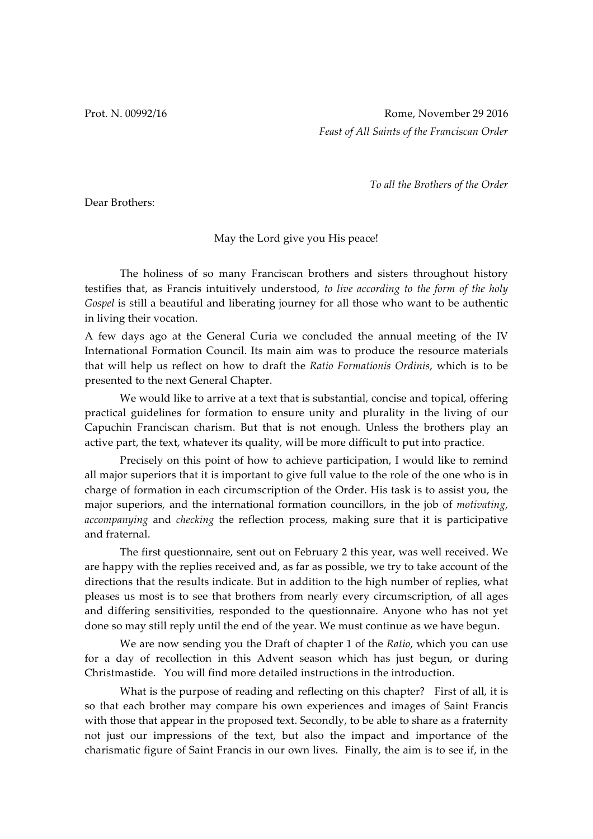Prot. N. 00992/16 **Rome, November 29 2016** *Feast of All Saints of the Franciscan Order*

*To all the Brothers of the Order*

Dear Brothers:

## May the Lord give you His peace!

The holiness of so many Franciscan brothers and sisters throughout history testifies that, as Francis intuitively understood, *to live according to the form of the holy Gospel* is still a beautiful and liberating journey for all those who want to be authentic in living their vocation.

A few days ago at the General Curia we concluded the annual meeting of the IV International Formation Council. Its main aim was to produce the resource materials that will help us reflect on how to draft the *Ratio Formationis Ordinis*, which is to be presented to the next General Chapter.

We would like to arrive at a text that is substantial, concise and topical, offering practical guidelines for formation to ensure unity and plurality in the living of our Capuchin Franciscan charism. But that is not enough. Unless the brothers play an active part, the text, whatever its quality, will be more difficult to put into practice.

Precisely on this point of how to achieve participation, I would like to remind all major superiors that it is important to give full value to the role of the one who is in charge of formation in each circumscription of the Order. His task is to assist you, the major superiors, and the international formation councillors, in the job of *motivating*, *accompanying* and *checking* the reflection process, making sure that it is participative and fraternal.

The first questionnaire, sent out on February 2 this year, was well received. We are happy with the replies received and, as far as possible, we try to take account of the directions that the results indicate. But in addition to the high number of replies, what pleases us most is to see that brothers from nearly every circumscription, of all ages and differing sensitivities, responded to the questionnaire. Anyone who has not yet done so may still reply until the end of the year. We must continue as we have begun.

We are now sending you the Draft of chapter 1 of the *Ratio*, which you can use for a day of recollection in this Advent season which has just begun, or during Christmastide. You will find more detailed instructions in the introduction.

What is the purpose of reading and reflecting on this chapter? First of all, it is so that each brother may compare his own experiences and images of Saint Francis with those that appear in the proposed text. Secondly, to be able to share as a fraternity not just our impressions of the text, but also the impact and importance of the charismatic figure of Saint Francis in our own lives. Finally, the aim is to see if, in the